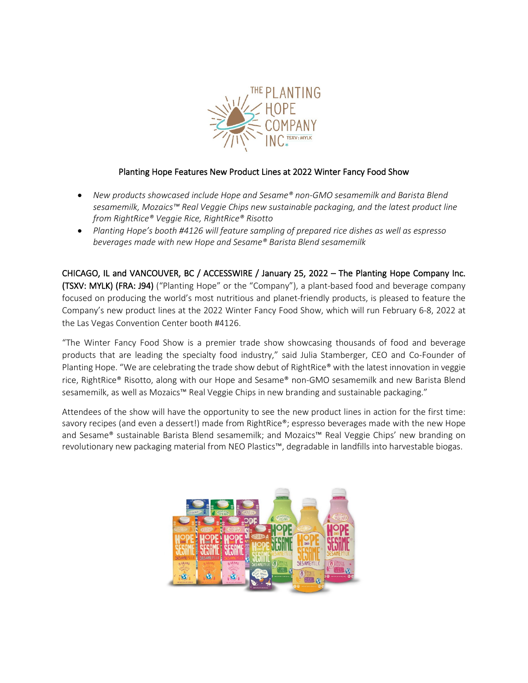

# Planting Hope Features New Product Lines at 2022 Winter Fancy Food Show

- *New products showcased include Hope and Sesame® non-GMO sesamemilk and Barista Blend sesamemilk, Mozaics™ Real Veggie Chips new sustainable packaging, and the latest product line from RightRice® Veggie Rice, RightRice® Risotto*
- *Planting Hope's booth #4126 will feature sampling of prepared rice dishes as well as espresso beverages made with new Hope and Sesame® Barista Blend sesamemilk*

CHICAGO, IL and VANCOUVER, BC / ACCESSWIRE / January 25, 2022 – The Planting Hope Company Inc. (TSXV: MYLK) (FRA: J94) ("Planting Hope" or the "Company"), a plant-based food and beverage company focused on producing the world's most nutritious and planet-friendly products, is pleased to feature the Company's new product lines at the 2022 Winter Fancy Food Show, which will run February 6-8, 2022 at the Las Vegas Convention Center booth #4126.

"The Winter Fancy Food Show is a premier trade show showcasing thousands of food and beverage products that are leading the specialty food industry," said Julia Stamberger, CEO and Co-Founder of Planting Hope. "We are celebrating the trade show debut of RightRice® with the latest innovation in veggie rice, RightRice® Risotto, along with our Hope and Sesame® non-GMO sesamemilk and new Barista Blend sesamemilk, as well as Mozaics™ Real Veggie Chips in new branding and sustainable packaging."

Attendees of the show will have the opportunity to see the new product lines in action for the first time: savory recipes (and even a dessert!) made from RightRice®; espresso beverages made with the new Hope and Sesame® sustainable Barista Blend sesamemilk; and Mozaics™ Real Veggie Chips' new branding on revolutionary new packaging material from NEO Plastics™, degradable in landfills into harvestable biogas.

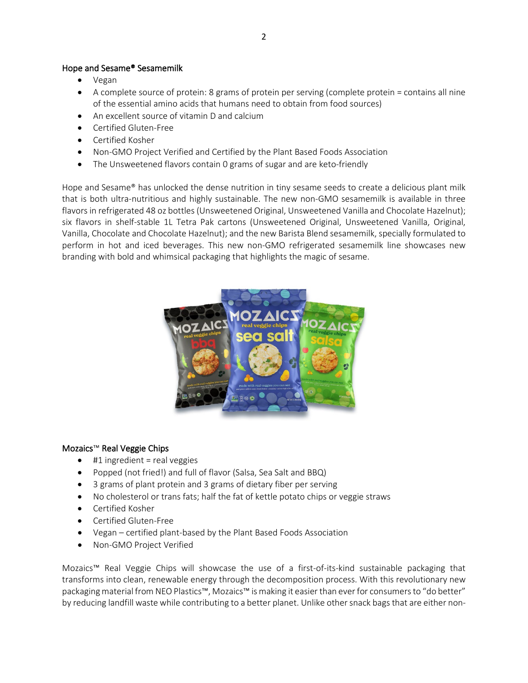# Hope and Sesame® Sesamemilk

- Vegan
- A complete source of protein: 8 grams of protein per serving (complete protein = contains all nine of the essential amino acids that humans need to obtain from food sources)
- An excellent source of vitamin D and calcium
- Certified Gluten-Free
- Certified Kosher
- Non-GMO Project Verified and Certified by the Plant Based Foods Association
- The Unsweetened flavors contain 0 grams of sugar and are keto-friendly

Hope and Sesame® has unlocked the dense nutrition in tiny sesame seeds to create a delicious plant milk that is both ultra-nutritious and highly sustainable. The new non-GMO sesamemilk is available in three flavors in refrigerated 48 oz bottles (Unsweetened Original, Unsweetened Vanilla and Chocolate Hazelnut); six flavors in shelf-stable 1L Tetra Pak cartons (Unsweetened Original, Unsweetened Vanilla, Original, Vanilla, Chocolate and Chocolate Hazelnut); and the new Barista Blend sesamemilk, specially formulated to perform in hot and iced beverages. This new non-GMO refrigerated sesamemilk line showcases new branding with bold and whimsical packaging that highlights the magic of sesame.



## Mozaics™ Real Veggie Chips

- $\bullet$  #1 ingredient = real veggies
- Popped (not fried!) and full of flavor (Salsa, Sea Salt and BBQ)
- 3 grams of plant protein and 3 grams of dietary fiber per serving
- No cholesterol or trans fats; half the fat of kettle potato chips or veggie straws
- Certified Kosher
- Certified Gluten-Free
- Vegan certified plant-based by the Plant Based Foods Association
- Non-GMO Project Verified

Mozaics™ Real Veggie Chips will showcase the use of a first-of-its-kind sustainable packaging that transforms into clean, renewable energy through the decomposition process. With this revolutionary new packaging material from NEO Plastics™, Mozaics™ is making it easier than ever for consumers to "do better" by reducing landfill waste while contributing to a better planet. Unlike other snack bags that are either non-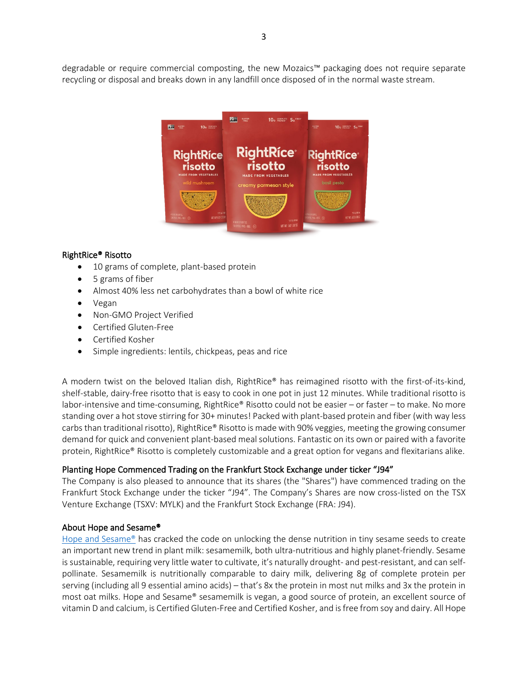degradable or require commercial composting, the new Mozaics™ packaging does not require separate recycling or disposal and breaks down in any landfill once disposed of in the normal waste stream.



# RightRice® Risotto

- 10 grams of complete, plant-based protein
- 5 grams of fiber
- Almost 40% less net carbohydrates than a bowl of white rice
- Vegan
- Non-GMO Project Verified
- Certified Gluten-Free
- Certified Kosher
- Simple ingredients: lentils, chickpeas, peas and rice

A modern twist on the beloved Italian dish, RightRice® has reimagined risotto with the first-of-its-kind, shelf-stable, dairy-free risotto that is easy to cook in one pot in just 12 minutes. While traditional risotto is labor-intensive and time-consuming, RightRice® Risotto could not be easier – or faster – to make. No more standing over a hot stove stirring for 30+ minutes! Packed with plant-based protein and fiber (with way less carbs than traditional risotto), RightRice® Risotto is made with 90% veggies, meeting the growing consumer demand for quick and convenient plant-based meal solutions. Fantastic on its own or paired with a favorite protein, RightRice® Risotto is completely customizable and a great option for vegans and flexitarians alike.

## Planting Hope Commenced Trading on the Frankfurt Stock Exchange under ticker "J94"

The Company is also pleased to announce that its shares (the "Shares") have commenced trading on the Frankfurt Stock Exchange under the ticker "J94". The Company's Shares are now cross-listed on the TSX Venture Exchange (TSXV: MYLK) and the Frankfurt Stock Exchange (FRA: J94).

## About Hope and Sesame®

Hope and Sesame<sup>®</sup> has cracked the code on unlocking the dense nutrition in tiny sesame seeds to create an important new trend in plant milk: sesamemilk, both ultra-nutritious and highly planet-friendly. Sesame is sustainable, requiring very little water to cultivate, it's naturally drought- and pest-resistant, and can selfpollinate. Sesamemilk is nutritionally comparable to dairy milk, delivering 8g of complete protein per serving (including all 9 essential amino acids) – that's 8x the protein in most nut milks and 3x the protein in most oat milks. Hope and Sesame® sesamemilk is vegan, a good source of protein, an excellent source of vitamin D and calcium, is Certified Gluten-Free and Certified Kosher, and is free from soy and dairy. All Hope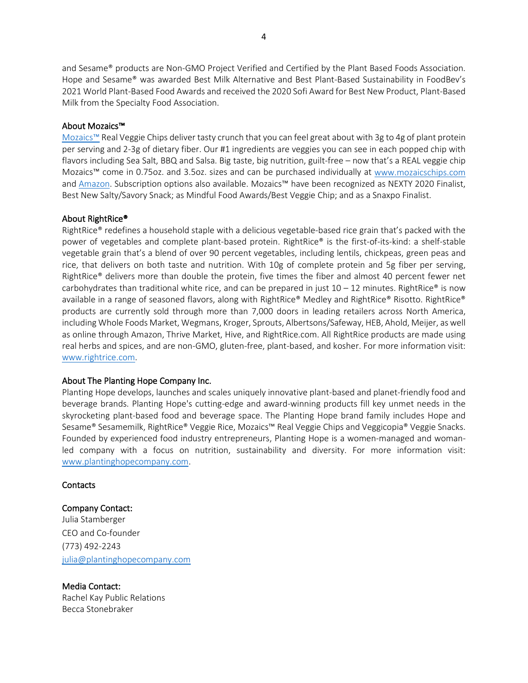and Sesame® products are Non-GMO Project Verified and Certified by the Plant Based Foods Association. Hope and Sesame® was awarded Best Milk Alternative and Best Plant-Based Sustainability in FoodBev's 2021 World Plant-Based Food Awards and received the 2020 Sofi Award for Best New Product, Plant-Based Milk from the Specialty Food Association.

### About Mozaics™

[Mozaics™](https://mozaicschips.com/) Real Veggie Chips deliver tasty crunch that you can feel great about with 3g to 4g of plant protein per serving and 2-3g of dietary fiber. Our #1 ingredients are veggies you can see in each popped chip with flavors including Sea Salt, BBQ and Salsa. Big taste, big nutrition, guilt-free – now that's a REAL veggie chip Mozaics™ come in 0.75oz. and 3.5oz. sizes and can be purchased individually at [www.mozaicschips.com](https://mozaicschips.com/) and [Amazon.](https://www.amazon.com/stores/MozaicsChips/page/A1517AEB-9CA8-4238-8246-83EF22ECEC5D?store_ref=BLP_HW_A5CB0753-C23C-4D33-82B0-4FD7101C984C) Subscription options also available. Mozaics™ have been recognized as NEXTY 2020 Finalist, Best New Salty/Savory Snack; as Mindful Food Awards/Best Veggie Chip; and as a Snaxpo Finalist.

#### About RightRice®

RightRice® redefines a household staple with a delicious vegetable-based rice grain that's packed with the power of vegetables and complete plant-based protein. RightRice® is the first-of-its-kind: a shelf-stable vegetable grain that's a blend of over 90 percent vegetables, including lentils, chickpeas, green peas and rice, that delivers on both taste and nutrition. With 10g of complete protein and 5g fiber per serving, RightRice® delivers more than double the protein, five times the fiber and almost 40 percent fewer net carbohydrates than traditional white rice, and can be prepared in just  $10 - 12$  minutes. RightRice® is now available in a range of seasoned flavors, along with RightRice® Medley and RightRice® Risotto. RightRice® products are currently sold through more than 7,000 doors in leading retailers across North America, including Whole Foods Market, Wegmans, Kroger, Sprouts, Albertsons/Safeway, HEB, Ahold, Meijer, as well as online through Amazon, Thrive Market, Hive, and RightRice.com. All RightRice products are made using real herbs and spices, and are non-GMO, gluten-free, plant-based, and kosher. For more information visit: [www.rightrice.com.](http://www.rightrice.com/)

#### About The Planting Hope Company Inc.

Planting Hope develops, launches and scales uniquely innovative plant-based and planet-friendly food and beverage brands. Planting Hope's cutting-edge and award-winning products fill key unmet needs in the skyrocketing plant-based food and beverage space. The Planting Hope brand family includes Hope and Sesame® Sesamemilk, RightRice® Veggie Rice, Mozaics™ Real Veggie Chips and Veggicopia® Veggie Snacks. Founded by experienced food industry entrepreneurs, Planting Hope is a women-managed and womanled company with a focus on nutrition, sustainability and diversity. For more information visit: [www.plantinghopecompany.com.](http://www.plantinghopecompany.com/)

#### **Contacts**

#### Company Contact:

Julia Stamberger CEO and Co-founder (773) 492-2243 [julia@plantinghopecompany.com](mailto:julia@plantinghopecompany.com)

#### Media Contact:

Rachel Kay Public Relations Becca Stonebraker